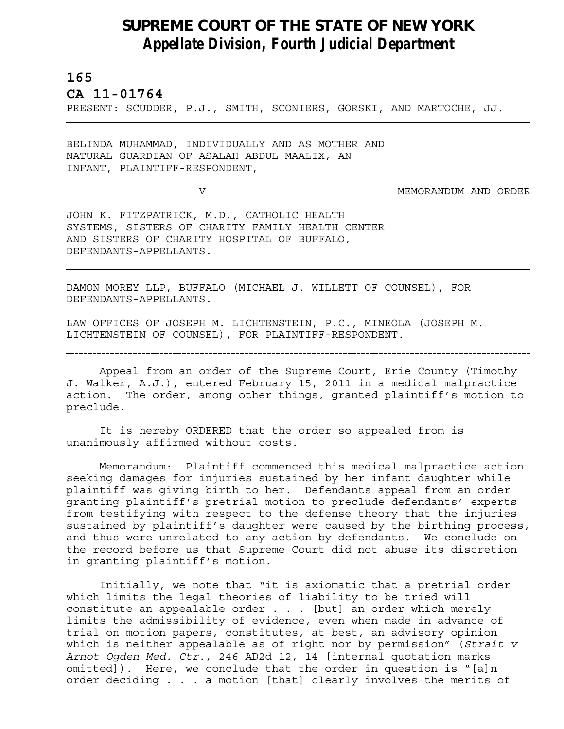## **SUPREME COURT OF THE STATE OF NEW YORK** *Appellate Division, Fourth Judicial Department*

## **165**

L

**CA 11-01764** 

PRESENT: SCUDDER, P.J., SMITH, SCONIERS, GORSKI, AND MARTOCHE, JJ.

BELINDA MUHAMMAD, INDIVIDUALLY AND AS MOTHER AND NATURAL GUARDIAN OF ASALAH ABDUL-MAALIX, AN INFANT, PLAINTIFF-RESPONDENT,

V MEMORANDUM AND ORDER

JOHN K. FITZPATRICK, M.D., CATHOLIC HEALTH SYSTEMS, SISTERS OF CHARITY FAMILY HEALTH CENTER AND SISTERS OF CHARITY HOSPITAL OF BUFFALO, DEFENDANTS-APPELLANTS.

DAMON MOREY LLP, BUFFALO (MICHAEL J. WILLETT OF COUNSEL), FOR DEFENDANTS-APPELLANTS.

LAW OFFICES OF JOSEPH M. LICHTENSTEIN, P.C., MINEOLA (JOSEPH M. LICHTENSTEIN OF COUNSEL), FOR PLAINTIFF-RESPONDENT.

Appeal from an order of the Supreme Court, Erie County (Timothy J. Walker, A.J.), entered February 15, 2011 in a medical malpractice action. The order, among other things, granted plaintiff's motion to preclude.

It is hereby ORDERED that the order so appealed from is unanimously affirmed without costs.

Memorandum: Plaintiff commenced this medical malpractice action seeking damages for injuries sustained by her infant daughter while plaintiff was giving birth to her. Defendants appeal from an order granting plaintiff's pretrial motion to preclude defendants' experts from testifying with respect to the defense theory that the injuries sustained by plaintiff's daughter were caused by the birthing process, and thus were unrelated to any action by defendants. We conclude on the record before us that Supreme Court did not abuse its discretion in granting plaintiff's motion.

Initially, we note that "it is axiomatic that a pretrial order which limits the legal theories of liability to be tried will constitute an appealable order . . . [but] an order which merely limits the admissibility of evidence, even when made in advance of trial on motion papers, constitutes, at best, an advisory opinion which is neither appealable as of right nor by permission" (*Strait v Arnot Ogden Med. Ctr*., 246 AD2d 12, 14 [internal quotation marks omitted]). Here, we conclude that the order in question is "[a]n order deciding . . . a motion [that] clearly involves the merits of